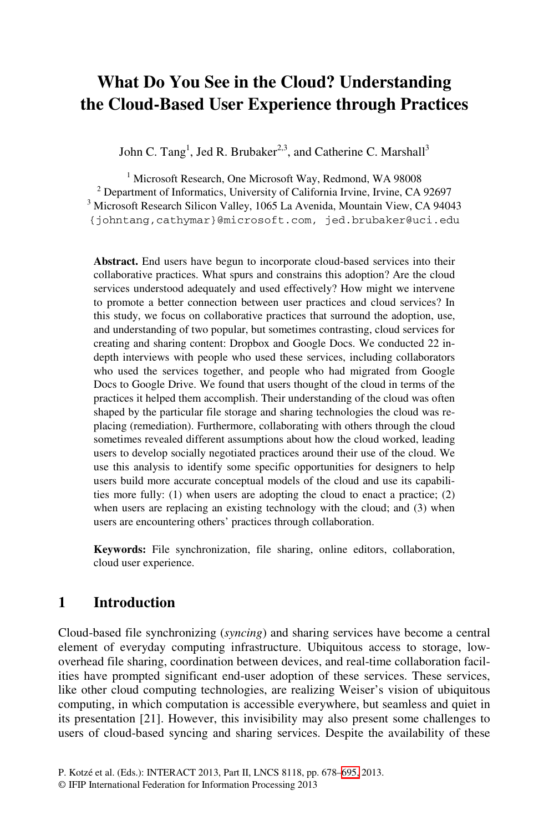# **What Do You See in the Cloud? Understanding the Cloud-Based User Experience through Practices**

John C. Tang<sup>1</sup>, Jed R. Brubaker<sup>2,3</sup>, and Catherine C. Marshall<sup>3</sup>

<sup>1</sup> Microsoft Research, One Microsoft Way, Redmond, WA 98008 <sup>1</sup> Microsoft Research, One Microsoft Way, Redmond, WA 98008<sup>2</sup><br><sup>2</sup> Department of Informatics, University of California Irvine, Irvine, CA <sup>2</sup> Department of Informatics, University of California Irvine, Irvine, CA 92697<br><sup>3</sup> Microsoft Research Silicon Valley, 1065 La Avenida, Mountain View, CA 9404 <sup>3</sup> Microsoft Research Silicon Valley, 1065 La Avenida, Mountain View, CA 94043 {johntang,cathymar}@microsoft.com, jed.brubaker@uci.edu

**Abstract.** End users have begun to incorporate cloud-based services into their collaborative practices. What spurs and constrains this adoption? Are the cloud services understood adequately and used effectively? How might we intervene to promote a better connection between user practices and cloud services? In this study, we focus on collaborative practices that surround the adoption, use, and understanding of two popular, but sometimes contrasting, cloud services for creating and sharing content: Dropbox and Google Docs. We conducted 22 indepth interviews with people who used these services, including collaborators who used the services together, and people who had migrated from Google Docs to Google Drive. We found that users thought of the cloud in terms of the practices it helped them accomplish. Their understanding of the cloud was often shaped by the particular file storage and sharing technologies the cloud was replacing (remediation). Furthermore, collaborating with others through the cloud sometimes revealed different assumptions about how the cloud worked, leading users to develop socially negotiated practices around their use of the cloud. We use this analysis to identify some specific opportunities for designers to help users build more accurate conceptual models of the cloud and use its capabilities more fully: (1) when users are adopting the cloud to enact a practice; (2) when users are replacing an existing technology with the cloud; and (3) when users are encountering others' practices through collaboration.

**Keywords:** File synchronization, file sharing, online editors, collaboration, cloud user experience.

### **1 Introduction**

Cloud-based file synchronizing (*syncing*) and sharing services have become a central element of everyday computing infrastructure. Ubiquitous access to storage, lowoverhead file sharing, coordination b[etwe](#page-17-0)en devices, and real-time collaboration facilities have prompted significant end-user adoption of these services. These services, like other cloud computing technologies, are realizing Weiser's vision of ubiquitous computing, in which computation is accessible everywhere, but seamless and quiet in its presentation [21]. However, this invisibility may also present some challenges to users of cloud-based syncing and sharing services. Despite the availability of these

P. Kotzé et al. (Eds.): INTERACT 2013, Part II, LNCS 8118, pp. 678–695, 2013.

<sup>©</sup> IFIP International Federation for Information Processing 2013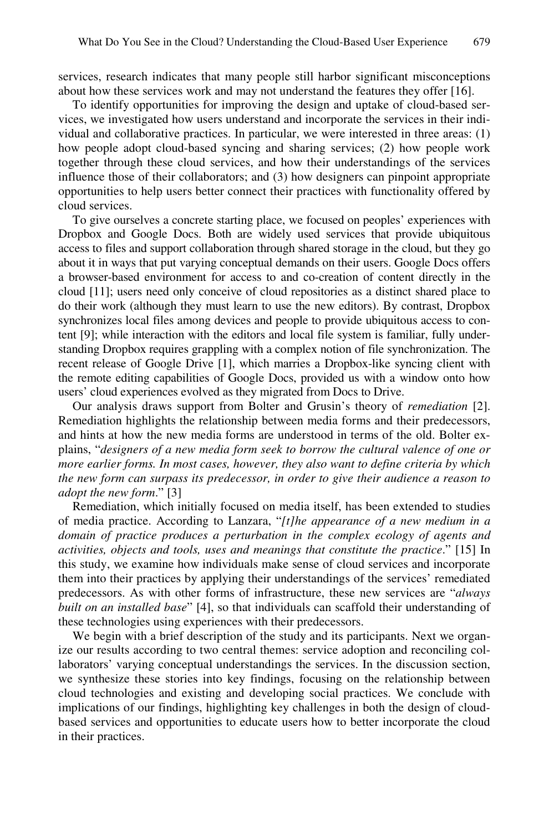services, research indicates that many people still harbor significant misconceptions about how these services work and may not understand the features they offer [16].

To identify opportunities for improving the design and uptake of cloud-based services, we investigated how users understand and incorporate the services in their individual and collaborative practices. In particular, we were interested in three areas: (1) how people adopt cloud-based syncing and sharing services; (2) how people work together through these cloud services, and how their understandings of the services influence those of their collaborators; and (3) how designers can pinpoint appropriate opportunities to help users better connect their practices with functionality offered by cloud services.

To give ourselves a concrete starting place, we focused on peoples' experiences with Dropbox and Google Docs. Both are widely used services that provide ubiquitous access to files and support collaboration through shared storage in the cloud, but they go about it in ways that put varying conceptual demands on their users. Google Docs offers a browser-based environment for access to and co-creation of content directly in the cloud [11]; users need only conceive of cloud repositories as a distinct shared place to do their work (although they must learn to use the new editors). By contrast, Dropbox synchronizes local files among devices and people to provide ubiquitous access to content [9]; while interaction with the editors and local file system is familiar, fully understanding Dropbox requires grappling with a complex notion of file synchronization. The recent release of Google Drive [1], which marries a Dropbox-like syncing client with the remote editing capabilities of Google Docs, provided us with a window onto how users' cloud experiences evolved as they migrated from Docs to Drive.

Our analysis draws support from Bolter and Grusin's theory of *remediation* [2]. Remediation highlights the relationship between media forms and their predecessors, and hints at how the new media forms are understood in terms of the old. Bolter explains, "*designers of a new media form seek to borrow the cultural valence of one or more earlier forms. In most cases, however, they also want to define criteria by which the new form can surpass its predecessor, in order to give their audience a reason to adopt the new form*." [3]

Remediation, which initially focused on media itself, has been extended to studies of media practice. According to Lanzara, "*[t]he appearance of a new medium in a domain of practice produces a perturbation in the complex ecology of agents and activities, objects and tools, uses and meanings that constitute the practice*." [15] In this study, we examine how individuals make sense of cloud services and incorporate them into their practices by applying their understandings of the services' remediated predecessors. As with other forms of infrastructure, these new services are "*always built on an installed base*" [4], so that individuals can scaffold their understanding of these technologies using experiences with their predecessors.

We begin with a brief description of the study and its participants. Next we organize our results according to two central themes: service adoption and reconciling collaborators' varying conceptual understandings the services. In the discussion section, we synthesize these stories into key findings, focusing on the relationship between cloud technologies and existing and developing social practices. We conclude with implications of our findings, highlighting key challenges in both the design of cloudbased services and opportunities to educate users how to better incorporate the cloud in their practices.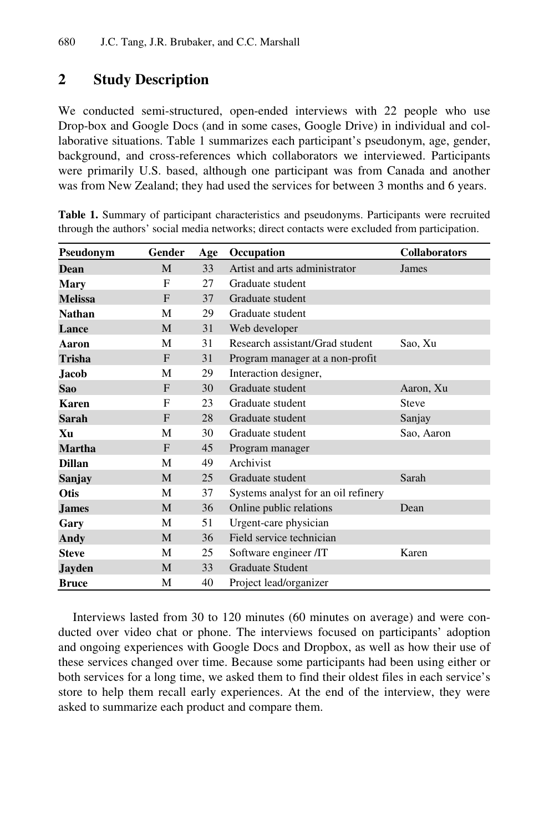## **2 Study Description**

We conducted semi-structured, open-ended interviews with 22 people who use Drop-box and Google Docs (and in some cases, Google Drive) in individual and collaborative situations. Table 1 summarizes each participant's pseudonym, age, gender, background, and cross-references which collaborators we interviewed. Participants were primarily U.S. based, although one participant was from Canada and another was from New Zealand; they had used the services for between 3 months and 6 years.

| Pseudonym      | Gender | Age | Occupation                          | <b>Collaborators</b> |
|----------------|--------|-----|-------------------------------------|----------------------|
| Dean           | M      | 33  | Artist and arts administrator       | James                |
| <b>Mary</b>    | F      | 27  | Graduate student                    |                      |
| <b>Melissa</b> | F      | 37  | Graduate student                    |                      |
| <b>Nathan</b>  | М      | 29  | Graduate student                    |                      |
| Lance          | M      | 31  | Web developer                       |                      |
| Aaron          | М      | 31  | Research assistant/Grad student     | Sao, Xu              |
| Trisha         | F      | 31  | Program manager at a non-profit     |                      |
| Jacob          | М      | 29  | Interaction designer,               |                      |
| Sao            | F      | 30  | Graduate student                    | Aaron, Xu            |
| Karen          | F      | 23  | Graduate student                    | <b>Steve</b>         |
| <b>Sarah</b>   | F      | 28  | Graduate student                    | Sanjay               |
| Xu             | М      | 30  | Graduate student                    | Sao, Aaron           |
| <b>Martha</b>  | F      | 45  | Program manager                     |                      |
| <b>Dillan</b>  | М      | 49  | Archivist                           |                      |
| Sanjay         | M      | 25  | Graduate student                    | Sarah                |
| Otis           | М      | 37  | Systems analyst for an oil refinery |                      |
| <b>James</b>   | M      | 36  | Online public relations             | Dean                 |
| Gary           | М      | 51  | Urgent-care physician               |                      |
| Andy           | M      | 36  | Field service technician            |                      |
| <b>Steve</b>   | М      | 25  | Software engineer /IT               | Karen                |
| Jayden         | M      | 33  | <b>Graduate Student</b>             |                      |
| <b>Bruce</b>   | М      | 40  | Project lead/organizer              |                      |

**Table 1.** Summary of participant characteristics and pseudonyms. Participants were recruited through the authors' social media networks; direct contacts were excluded from participation.

Interviews lasted from 30 to 120 minutes (60 minutes on average) and were conducted over video chat or phone. The interviews focused on participants' adoption and ongoing experiences with Google Docs and Dropbox, as well as how their use of these services changed over time. Because some participants had been using either or both services for a long time, we asked them to find their oldest files in each service's store to help them recall early experiences. At the end of the interview, they were asked to summarize each product and compare them.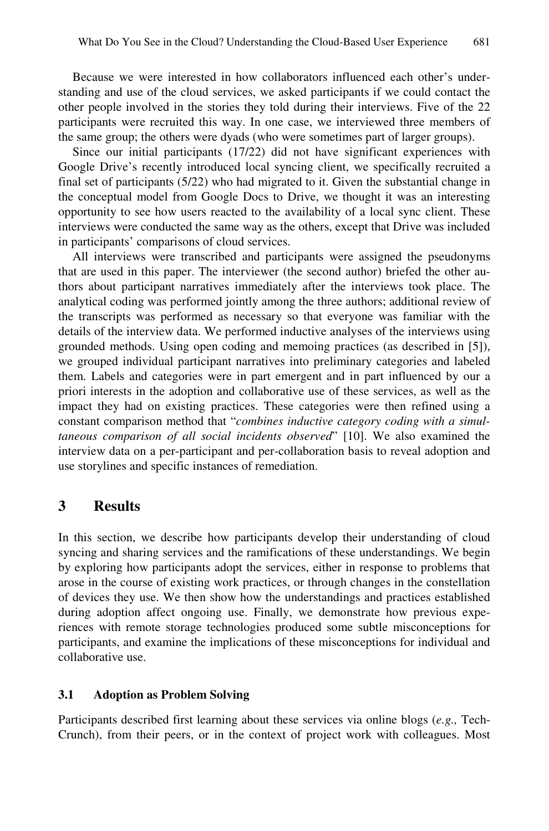Because we were interested in how collaborators influenced each other's understanding and use of the cloud services, we asked participants if we could contact the other people involved in the stories they told during their interviews. Five of the 22 participants were recruited this way. In one case, we interviewed three members of the same group; the others were dyads (who were sometimes part of larger groups).

Since our initial participants (17/22) did not have significant experiences with Google Drive's recently introduced local syncing client, we specifically recruited a final set of participants (5/22) who had migrated to it. Given the substantial change in the conceptual model from Google Docs to Drive, we thought it was an interesting opportunity to see how users reacted to the availability of a local sync client. These interviews were conducted the same way as the others, except that Drive was included in participants' comparisons of cloud services.

All interviews were transcribed and participants were assigned the pseudonyms that are used in this paper. The interviewer (the second author) briefed the other authors about participant narratives immediately after the interviews took place. The analytical coding was performed jointly among the three authors; additional review of the transcripts was performed as necessary so that everyone was familiar with the details of the interview data. We performed inductive analyses of the interviews using grounded methods. Using open coding and memoing practices (as described in [5]), we grouped individual participant narratives into preliminary categories and labeled them. Labels and categories were in part emergent and in part influenced by our a priori interests in the adoption and collaborative use of these services, as well as the impact they had on existing practices. These categories were then refined using a constant comparison method that "*combines inductive category coding with a simultaneous comparison of all social incidents observed*" [10]. We also examined the interview data on a per-participant and per-collaboration basis to reveal adoption and use storylines and specific instances of remediation.

## **3 Results**

In this section, we describe how participants develop their understanding of cloud syncing and sharing services and the ramifications of these understandings. We begin by exploring how participants adopt the services, either in response to problems that arose in the course of existing work practices, or through changes in the constellation of devices they use. We then show how the understandings and practices established during adoption affect ongoing use. Finally, we demonstrate how previous experiences with remote storage technologies produced some subtle misconceptions for participants, and examine the implications of these misconceptions for individual and collaborative use.

#### **3.1 Adoption as Problem Solving**

Participants described first learning about these services via online blogs (*e.g.,* Tech-Crunch), from their peers, or in the context of project work with colleagues. Most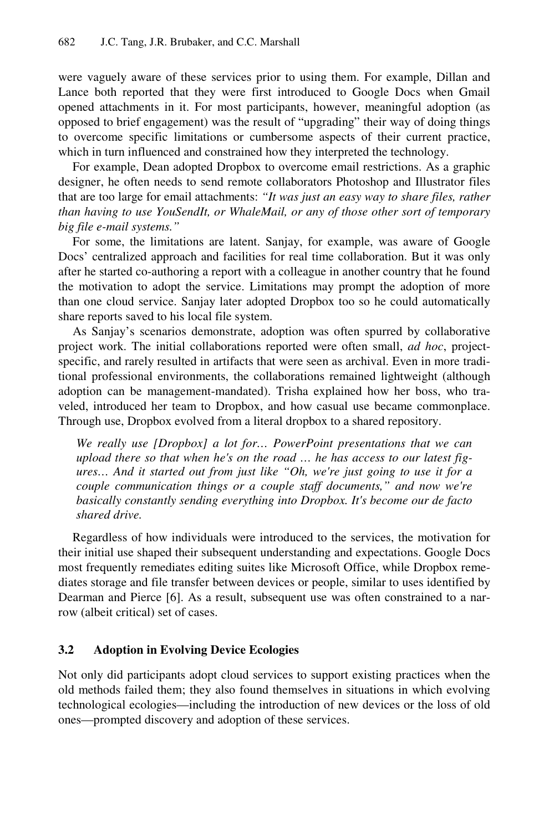were vaguely aware of these services prior to using them. For example, Dillan and Lance both reported that they were first introduced to Google Docs when Gmail opened attachments in it. For most participants, however, meaningful adoption (as opposed to brief engagement) was the result of "upgrading" their way of doing things to overcome specific limitations or cumbersome aspects of their current practice, which in turn influenced and constrained how they interpreted the technology.

For example, Dean adopted Dropbox to overcome email restrictions. As a graphic designer, he often needs to send remote collaborators Photoshop and Illustrator files that are too large for email attachments: *"It was just an easy way to share files, rather than having to use YouSendIt, or WhaleMail, or any of those other sort of temporary big file e-mail systems."* 

For some, the limitations are latent. Sanjay, for example, was aware of Google Docs' centralized approach and facilities for real time collaboration. But it was only after he started co-authoring a report with a colleague in another country that he found the motivation to adopt the service. Limitations may prompt the adoption of more than one cloud service. Sanjay later adopted Dropbox too so he could automatically share reports saved to his local file system.

As Sanjay's scenarios demonstrate, adoption was often spurred by collaborative project work. The initial collaborations reported were often small, *ad hoc*, projectspecific, and rarely resulted in artifacts that were seen as archival. Even in more traditional professional environments, the collaborations remained lightweight (although adoption can be management-mandated). Trisha explained how her boss, who traveled, introduced her team to Dropbox, and how casual use became commonplace. Through use, Dropbox evolved from a literal dropbox to a shared repository.

*We really use [Dropbox] a lot for… PowerPoint presentations that we can upload there so that when he's on the road … he has access to our latest figures… And it started out from just like "Oh, we're just going to use it for a couple communication things or a couple staff documents," and now we're basically constantly sending everything into Dropbox. It's become our de facto shared drive.* 

Regardless of how individuals were introduced to the services, the motivation for their initial use shaped their subsequent understanding and expectations. Google Docs most frequently remediates editing suites like Microsoft Office, while Dropbox remediates storage and file transfer between devices or people, similar to uses identified by Dearman and Pierce [6]. As a result, subsequent use was often constrained to a narrow (albeit critical) set of cases.

#### **3.2 Adoption in Evolving Device Ecologies**

Not only did participants adopt cloud services to support existing practices when the old methods failed them; they also found themselves in situations in which evolving technological ecologies—including the introduction of new devices or the loss of old ones—prompted discovery and adoption of these services.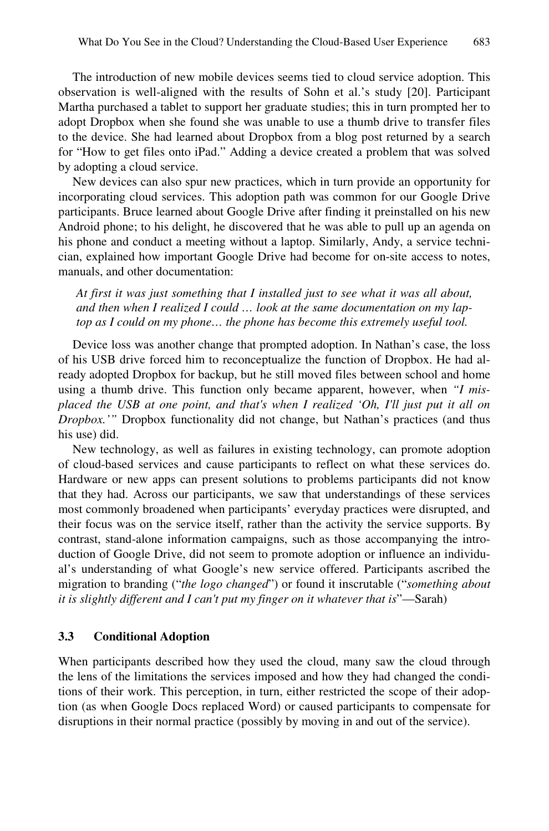The introduction of new mobile devices seems tied to cloud service adoption. This observation is well-aligned with the results of Sohn et al.'s study [20]. Participant Martha purchased a tablet to support her graduate studies; this in turn prompted her to adopt Dropbox when she found she was unable to use a thumb drive to transfer files to the device. She had learned about Dropbox from a blog post returned by a search for "How to get files onto iPad." Adding a device created a problem that was solved by adopting a cloud service.

New devices can also spur new practices, which in turn provide an opportunity for incorporating cloud services. This adoption path was common for our Google Drive participants. Bruce learned about Google Drive after finding it preinstalled on his new Android phone; to his delight, he discovered that he was able to pull up an agenda on his phone and conduct a meeting without a laptop. Similarly, Andy, a service technician, explained how important Google Drive had become for on-site access to notes, manuals, and other documentation:

*At first it was just something that I installed just to see what it was all about, and then when I realized I could … look at the same documentation on my laptop as I could on my phone… the phone has become this extremely useful tool.*

Device loss was another change that prompted adoption. In Nathan's case, the loss of his USB drive forced him to reconceptualize the function of Dropbox. He had already adopted Dropbox for backup, but he still moved files between school and home using a thumb drive. This function only became apparent, however, when *"I misplaced the USB at one point, and that's when I realized 'Oh, I'll just put it all on Dropbox.'"* Dropbox functionality did not change, but Nathan's practices (and thus his use) did.

New technology, as well as failures in existing technology, can promote adoption of cloud-based services and cause participants to reflect on what these services do. Hardware or new apps can present solutions to problems participants did not know that they had. Across our participants, we saw that understandings of these services most commonly broadened when participants' everyday practices were disrupted, and their focus was on the service itself, rather than the activity the service supports. By contrast, stand-alone information campaigns, such as those accompanying the introduction of Google Drive, did not seem to promote adoption or influence an individual's understanding of what Google's new service offered. Participants ascribed the migration to branding ("*the logo changed*") or found it inscrutable ("*something about it is slightly different and I can't put my finger on it whatever that is*"—Sarah)

#### **3.3 Conditional Adoption**

When participants described how they used the cloud, many saw the cloud through the lens of the limitations the services imposed and how they had changed the conditions of their work. This perception, in turn, either restricted the scope of their adoption (as when Google Docs replaced Word) or caused participants to compensate for disruptions in their normal practice (possibly by moving in and out of the service).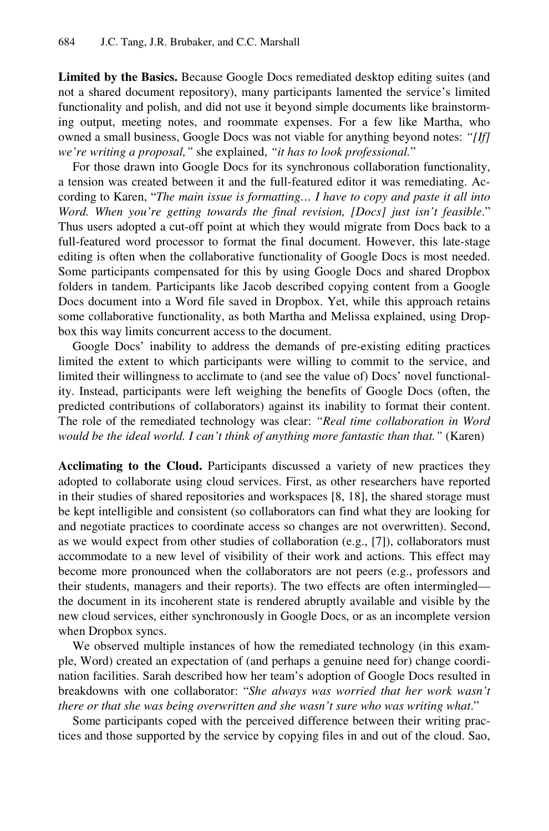**Limited by the Basics.** Because Google Docs remediated desktop editing suites (and not a shared document repository), many participants lamented the service's limited functionality and polish, and did not use it beyond simple documents like brainstorming output, meeting notes, and roommate expenses. For a few like Martha, who owned a small business, Google Docs was not viable for anything beyond notes: *"[If] we're writing a proposal,"* she explained, *"it has to look professional.*"

For those drawn into Google Docs for its synchronous collaboration functionality, a tension was created between it and the full-featured editor it was remediating. According to Karen, "*The main issue is formatting… I have to copy and paste it all into Word. When you're getting towards the final revision, [Docs] just isn't feasible*." Thus users adopted a cut-off point at which they would migrate from Docs back to a full-featured word processor to format the final document. However, this late-stage editing is often when the collaborative functionality of Google Docs is most needed. Some participants compensated for this by using Google Docs and shared Dropbox folders in tandem. Participants like Jacob described copying content from a Google Docs document into a Word file saved in Dropbox. Yet, while this approach retains some collaborative functionality, as both Martha and Melissa explained, using Dropbox this way limits concurrent access to the document.

Google Docs' inability to address the demands of pre-existing editing practices limited the extent to which participants were willing to commit to the service, and limited their willingness to acclimate to (and see the value of) Docs' novel functionality. Instead, participants were left weighing the benefits of Google Docs (often, the predicted contributions of collaborators) against its inability to format their content. The role of the remediated technology was clear: *"Real time collaboration in Word would be the ideal world. I can't think of anything more fantastic than that."* (Karen)

**Acclimating to the Cloud.** Participants discussed a variety of new practices they adopted to collaborate using cloud services. First, as other researchers have reported in their studies of shared repositories and workspaces [8, 18], the shared storage must be kept intelligible and consistent (so collaborators can find what they are looking for and negotiate practices to coordinate access so changes are not overwritten). Second, as we would expect from other studies of collaboration (e.g., [7]), collaborators must accommodate to a new level of visibility of their work and actions. This effect may become more pronounced when the collaborators are not peers (e.g., professors and their students, managers and their reports). The two effects are often intermingled the document in its incoherent state is rendered abruptly available and visible by the new cloud services, either synchronously in Google Docs, or as an incomplete version when Dropbox syncs.

We observed multiple instances of how the remediated technology (in this example, Word) created an expectation of (and perhaps a genuine need for) change coordination facilities. Sarah described how her team's adoption of Google Docs resulted in breakdowns with one collaborator: "*She always was worried that her work wasn't there or that she was being overwritten and she wasn't sure who was writing what*."

Some participants coped with the perceived difference between their writing practices and those supported by the service by copying files in and out of the cloud. Sao,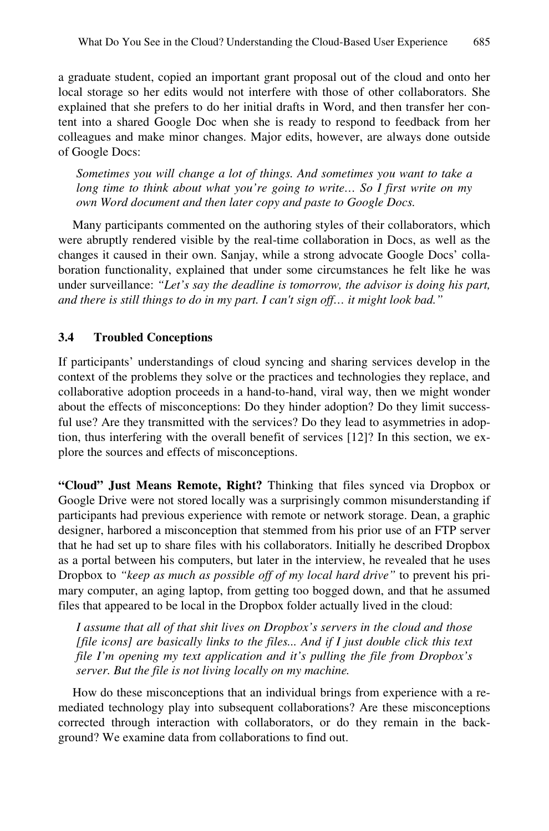a graduate student, copied an important grant proposal out of the cloud and onto her local storage so her edits would not interfere with those of other collaborators. She explained that she prefers to do her initial drafts in Word, and then transfer her content into a shared Google Doc when she is ready to respond to feedback from her colleagues and make minor changes. Major edits, however, are always done outside of Google Docs:

*Sometimes you will change a lot of things. And sometimes you want to take a long time to think about what you're going to write… So I first write on my own Word document and then later copy and paste to Google Docs.* 

Many participants commented on the authoring styles of their collaborators, which were abruptly rendered visible by the real-time collaboration in Docs, as well as the changes it caused in their own. Sanjay, while a strong advocate Google Docs' collaboration functionality, explained that under some circumstances he felt like he was under surveillance: *"Let's say the deadline is tomorrow, the advisor is doing his part, and there is still things to do in my part. I can't sign off… it might look bad."* 

## **3.4 Troubled Conceptions**

If participants' understandings of cloud syncing and sharing services develop in the context of the problems they solve or the practices and technologies they replace, and collaborative adoption proceeds in a hand-to-hand, viral way, then we might wonder about the effects of misconceptions: Do they hinder adoption? Do they limit successful use? Are they transmitted with the services? Do they lead to asymmetries in adoption, thus interfering with the overall benefit of services [12]? In this section, we explore the sources and effects of misconceptions.

**"Cloud" Just Means Remote, Right?** Thinking that files synced via Dropbox or Google Drive were not stored locally was a surprisingly common misunderstanding if participants had previous experience with remote or network storage. Dean, a graphic designer, harbored a misconception that stemmed from his prior use of an FTP server that he had set up to share files with his collaborators. Initially he described Dropbox as a portal between his computers, but later in the interview, he revealed that he uses Dropbox to *"keep as much as possible off of my local hard drive"* to prevent his primary computer, an aging laptop, from getting too bogged down, and that he assumed files that appeared to be local in the Dropbox folder actually lived in the cloud:

*I assume that all of that shit lives on Dropbox's servers in the cloud and those [file icons] are basically links to the files... And if I just double click this text file I'm opening my text application and it's pulling the file from Dropbox's server. But the file is not living locally on my machine.* 

How do these misconceptions that an individual brings from experience with a remediated technology play into subsequent collaborations? Are these misconceptions corrected through interaction with collaborators, or do they remain in the background? We examine data from collaborations to find out.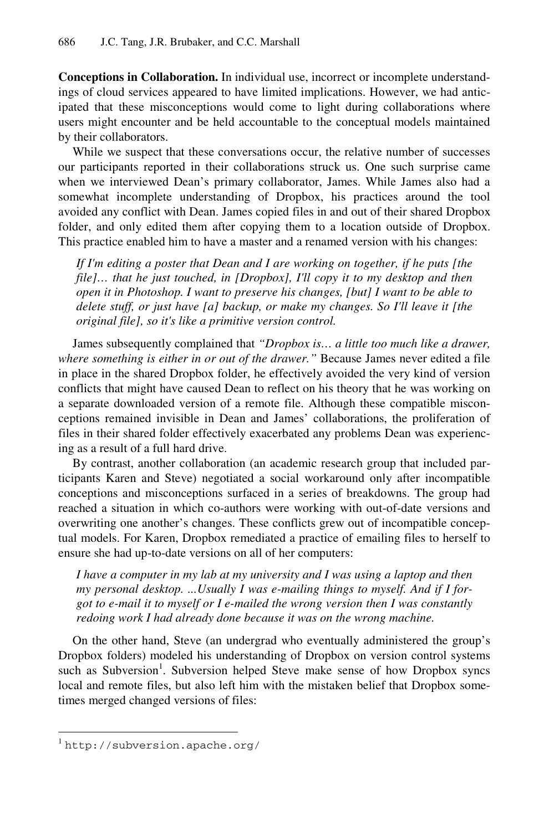**Conceptions in Collaboration.** In individual use, incorrect or incomplete understandings of cloud services appeared to have limited implications. However, we had anticipated that these misconceptions would come to light during collaborations where users might encounter and be held accountable to the conceptual models maintained by their collaborators.

While we suspect that these conversations occur, the relative number of successes our participants reported in their collaborations struck us. One such surprise came when we interviewed Dean's primary collaborator, James. While James also had a somewhat incomplete understanding of Dropbox, his practices around the tool avoided any conflict with Dean. James copied files in and out of their shared Dropbox folder, and only edited them after copying them to a location outside of Dropbox. This practice enabled him to have a master and a renamed version with his changes:

*If I'm editing a poster that Dean and I are working on together, if he puts [the file]… that he just touched, in [Dropbox], I'll copy it to my desktop and then open it in Photoshop. I want to preserve his changes, [but] I want to be able to delete stuff, or just have [a] backup, or make my changes. So I'll leave it [the original file], so it's like a primitive version control.* 

James subsequently complained that *"Dropbox is… a little too much like a drawer, where something is either in or out of the drawer."* Because James never edited a file in place in the shared Dropbox folder, he effectively avoided the very kind of version conflicts that might have caused Dean to reflect on his theory that he was working on a separate downloaded version of a remote file. Although these compatible misconceptions remained invisible in Dean and James' collaborations, the proliferation of files in their shared folder effectively exacerbated any problems Dean was experiencing as a result of a full hard drive.

By contrast, another collaboration (an academic research group that included participants Karen and Steve) negotiated a social workaround only after incompatible conceptions and misconceptions surfaced in a series of breakdowns. The group had reached a situation in which co-authors were working with out-of-date versions and overwriting one another's changes. These conflicts grew out of incompatible conceptual models. For Karen, Dropbox remediated a practice of emailing files to herself to ensure she had up-to-date versions on all of her computers:

*I have a computer in my lab at my university and I was using a laptop and then my personal desktop. ...Usually I was e-mailing things to myself. And if I forgot to e-mail it to myself or I e-mailed the wrong version then I was constantly redoing work I had already done because it was on the wrong machine.* 

On the other hand, Steve (an undergrad who eventually administered the group's Dropbox folders) modeled his understanding of Dropbox on version control systems such as Subversion<sup>1</sup>. Subversion helped Steve make sense of how Dropbox syncs local and remote files, but also left him with the mistaken belief that Dropbox sometimes merged changed versions of files:

-

 $<sup>1</sup>$ http://subversion.apache.org/</sup>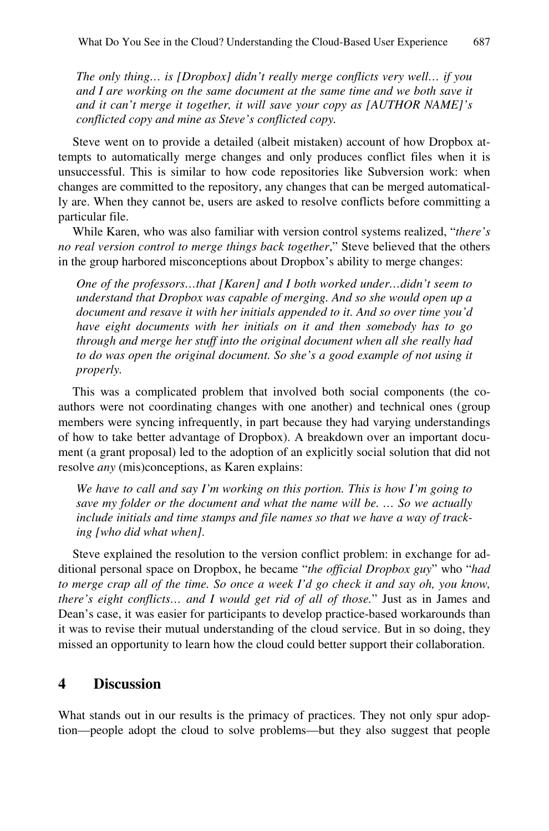*The only thing… is [Dropbox] didn't really merge conflicts very well… if you and I are working on the same document at the same time and we both save it and it can't merge it together, it will save your copy as [AUTHOR NAME]'s conflicted copy and mine as Steve's conflicted copy.* 

Steve went on to provide a detailed (albeit mistaken) account of how Dropbox attempts to automatically merge changes and only produces conflict files when it is unsuccessful. This is similar to how code repositories like Subversion work: when changes are committed to the repository, any changes that can be merged automatically are. When they cannot be, users are asked to resolve conflicts before committing a particular file.

While Karen, who was also familiar with version control systems realized, "*there's no real version control to merge things back together*," Steve believed that the others in the group harbored misconceptions about Dropbox's ability to merge changes:

*One of the professors…that [Karen] and I both worked under…didn't seem to understand that Dropbox was capable of merging. And so she would open up a document and resave it with her initials appended to it. And so over time you'd have eight documents with her initials on it and then somebody has to go through and merge her stuff into the original document when all she really had to do was open the original document. So she's a good example of not using it properly.* 

This was a complicated problem that involved both social components (the coauthors were not coordinating changes with one another) and technical ones (group members were syncing infrequently, in part because they had varying understandings of how to take better advantage of Dropbox). A breakdown over an important document (a grant proposal) led to the adoption of an explicitly social solution that did not resolve *any* (mis)conceptions, as Karen explains:

*We have to call and say I'm working on this portion. This is how I'm going to save my folder or the document and what the name will be. … So we actually include initials and time stamps and file names so that we have a way of tracking [who did what when].*

Steve explained the resolution to the version conflict problem: in exchange for additional personal space on Dropbox, he became "*the official Dropbox guy*" who "*had to merge crap all of the time. So once a week I'd go check it and say oh, you know, there's eight conflicts… and I would get rid of all of those.*" Just as in James and Dean's case, it was easier for participants to develop practice-based workarounds than it was to revise their mutual understanding of the cloud service. But in so doing, they missed an opportunity to learn how the cloud could better support their collaboration.

## **4 Discussion**

What stands out in our results is the primacy of practices. They not only spur adoption—people adopt the cloud to solve problems—but they also suggest that people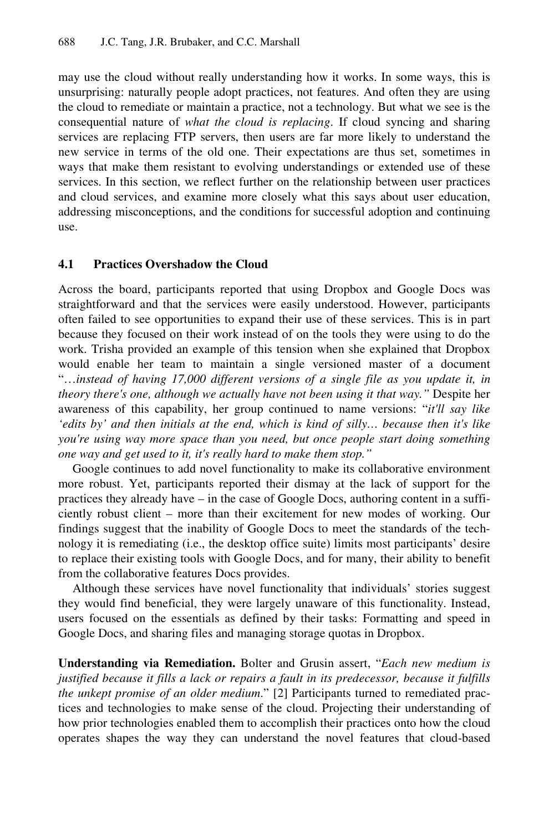may use the cloud without really understanding how it works. In some ways, this is unsurprising: naturally people adopt practices, not features. And often they are using the cloud to remediate or maintain a practice, not a technology. But what we see is the consequential nature of *what the cloud is replacing*. If cloud syncing and sharing services are replacing FTP servers, then users are far more likely to understand the new service in terms of the old one. Their expectations are thus set, sometimes in ways that make them resistant to evolving understandings or extended use of these services. In this section, we reflect further on the relationship between user practices and cloud services, and examine more closely what this says about user education, addressing misconceptions, and the conditions for successful adoption and continuing use.

#### **4.1 Practices Overshadow the Cloud**

Across the board, participants reported that using Dropbox and Google Docs was straightforward and that the services were easily understood. However, participants often failed to see opportunities to expand their use of these services. This is in part because they focused on their work instead of on the tools they were using to do the work. Trisha provided an example of this tension when she explained that Dropbox would enable her team to maintain a single versioned master of a document "…*instead of having 17,000 different versions of a single file as you update it, in theory there's one, although we actually have not been using it that way."* Despite her awareness of this capability, her group continued to name versions: "*it'll say like 'edits by' and then initials at the end, which is kind of silly… because then it's like you're using way more space than you need, but once people start doing something one way and get used to it, it's really hard to make them stop."*

Google continues to add novel functionality to make its collaborative environment more robust. Yet, participants reported their dismay at the lack of support for the practices they already have – in the case of Google Docs, authoring content in a sufficiently robust client – more than their excitement for new modes of working. Our findings suggest that the inability of Google Docs to meet the standards of the technology it is remediating (i.e., the desktop office suite) limits most participants' desire to replace their existing tools with Google Docs, and for many, their ability to benefit from the collaborative features Docs provides.

Although these services have novel functionality that individuals' stories suggest they would find beneficial, they were largely unaware of this functionality. Instead, users focused on the essentials as defined by their tasks: Formatting and speed in Google Docs, and sharing files and managing storage quotas in Dropbox.

**Understanding via Remediation.** Bolter and Grusin assert, "*Each new medium is justified because it fills a lack or repairs a fault in its predecessor, because it fulfills the unkept promise of an older medium*." [2] Participants turned to remediated practices and technologies to make sense of the cloud. Projecting their understanding of how prior technologies enabled them to accomplish their practices onto how the cloud operates shapes the way they can understand the novel features that cloud-based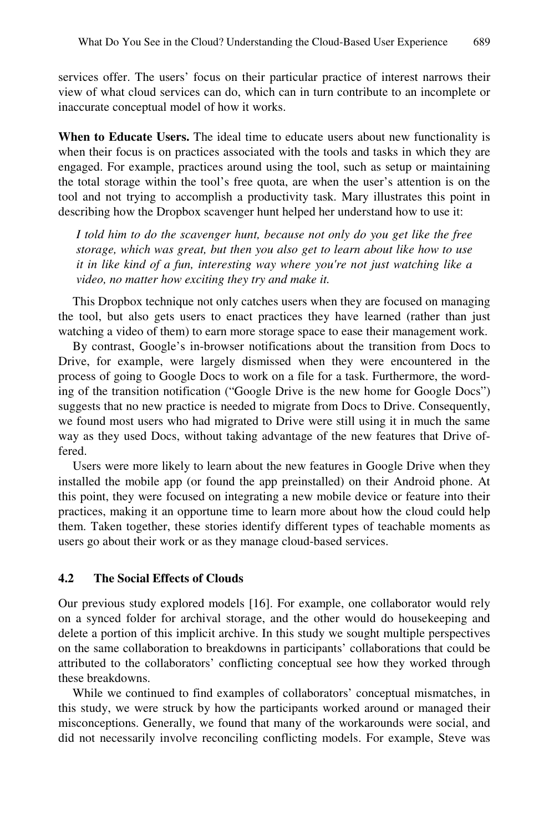services offer. The users' focus on their particular practice of interest narrows their view of what cloud services can do, which can in turn contribute to an incomplete or inaccurate conceptual model of how it works.

**When to Educate Users.** The ideal time to educate users about new functionality is when their focus is on practices associated with the tools and tasks in which they are engaged. For example, practices around using the tool, such as setup or maintaining the total storage within the tool's free quota, are when the user's attention is on the tool and not trying to accomplish a productivity task. Mary illustrates this point in describing how the Dropbox scavenger hunt helped her understand how to use it:

*I told him to do the scavenger hunt, because not only do you get like the free storage, which was great, but then you also get to learn about like how to use it in like kind of a fun, interesting way where you're not just watching like a video, no matter how exciting they try and make it.* 

This Dropbox technique not only catches users when they are focused on managing the tool, but also gets users to enact practices they have learned (rather than just watching a video of them) to earn more storage space to ease their management work.

By contrast, Google's in-browser notifications about the transition from Docs to Drive, for example, were largely dismissed when they were encountered in the process of going to Google Docs to work on a file for a task. Furthermore, the wording of the transition notification ("Google Drive is the new home for Google Docs") suggests that no new practice is needed to migrate from Docs to Drive. Consequently, we found most users who had migrated to Drive were still using it in much the same way as they used Docs, without taking advantage of the new features that Drive offered.

Users were more likely to learn about the new features in Google Drive when they installed the mobile app (or found the app preinstalled) on their Android phone. At this point, they were focused on integrating a new mobile device or feature into their practices, making it an opportune time to learn more about how the cloud could help them. Taken together, these stories identify different types of teachable moments as users go about their work or as they manage cloud-based services.

#### **4.2 The Social Effects of Clouds**

Our previous study explored models [16]. For example, one collaborator would rely on a synced folder for archival storage, and the other would do housekeeping and delete a portion of this implicit archive. In this study we sought multiple perspectives on the same collaboration to breakdowns in participants' collaborations that could be attributed to the collaborators' conflicting conceptual see how they worked through these breakdowns.

While we continued to find examples of collaborators' conceptual mismatches, in this study, we were struck by how the participants worked around or managed their misconceptions. Generally, we found that many of the workarounds were social, and did not necessarily involve reconciling conflicting models. For example, Steve was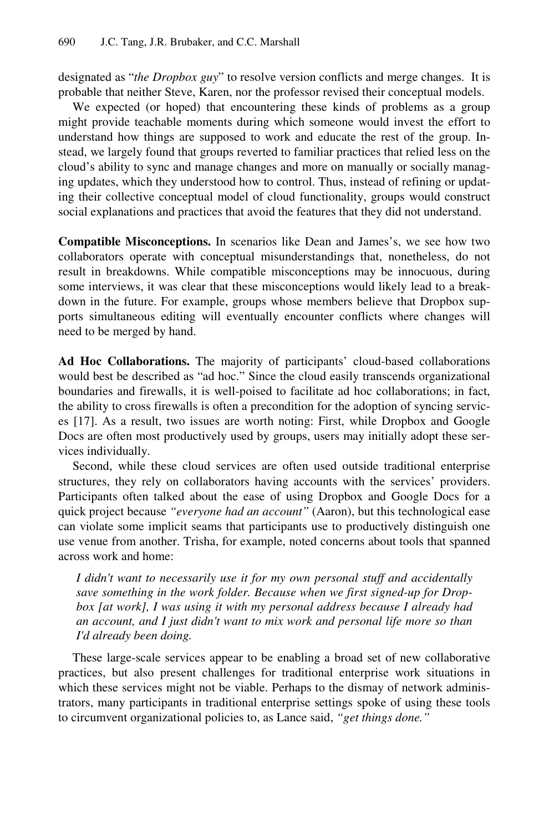designated as "*the Dropbox guy*" to resolve version conflicts and merge changes. It is probable that neither Steve, Karen, nor the professor revised their conceptual models.

We expected (or hoped) that encountering these kinds of problems as a group might provide teachable moments during which someone would invest the effort to understand how things are supposed to work and educate the rest of the group. Instead, we largely found that groups reverted to familiar practices that relied less on the cloud's ability to sync and manage changes and more on manually or socially managing updates, which they understood how to control. Thus, instead of refining or updating their collective conceptual model of cloud functionality, groups would construct social explanations and practices that avoid the features that they did not understand.

**Compatible Misconceptions.** In scenarios like Dean and James's, we see how two collaborators operate with conceptual misunderstandings that, nonetheless, do not result in breakdowns. While compatible misconceptions may be innocuous, during some interviews, it was clear that these misconceptions would likely lead to a breakdown in the future. For example, groups whose members believe that Dropbox supports simultaneous editing will eventually encounter conflicts where changes will need to be merged by hand.

**Ad Hoc Collaborations.** The majority of participants' cloud-based collaborations would best be described as "ad hoc." Since the cloud easily transcends organizational boundaries and firewalls, it is well-poised to facilitate ad hoc collaborations; in fact, the ability to cross firewalls is often a precondition for the adoption of syncing services [17]. As a result, two issues are worth noting: First, while Dropbox and Google Docs are often most productively used by groups, users may initially adopt these services individually.

Second, while these cloud services are often used outside traditional enterprise structures, they rely on collaborators having accounts with the services' providers. Participants often talked about the ease of using Dropbox and Google Docs for a quick project because *"everyone had an account"* (Aaron), but this technological ease can violate some implicit seams that participants use to productively distinguish one use venue from another. Trisha, for example, noted concerns about tools that spanned across work and home:

*I didn't want to necessarily use it for my own personal stuff and accidentally save something in the work folder. Because when we first signed-up for Dropbox [at work], I was using it with my personal address because I already had an account, and I just didn't want to mix work and personal life more so than I'd already been doing.* 

These large-scale services appear to be enabling a broad set of new collaborative practices, but also present challenges for traditional enterprise work situations in which these services might not be viable. Perhaps to the dismay of network administrators, many participants in traditional enterprise settings spoke of using these tools to circumvent organizational policies to, as Lance said, *"get things done."*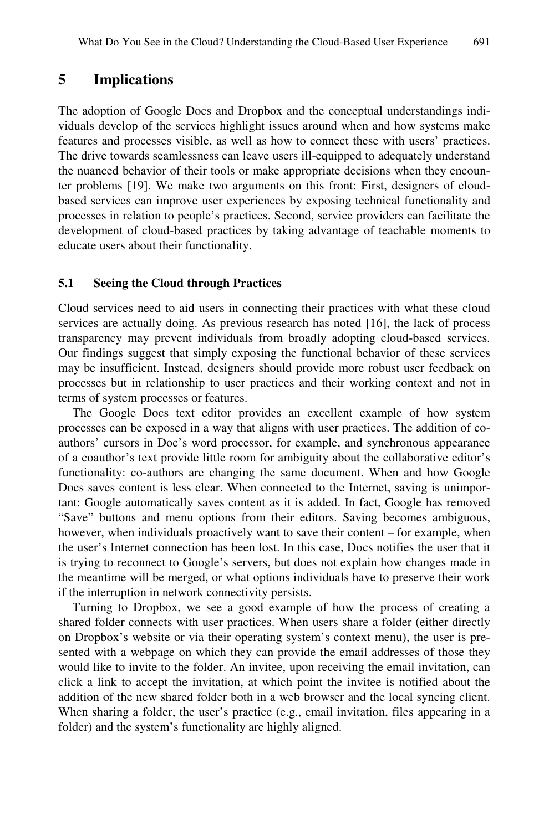## **5 Implications**

The adoption of Google Docs and Dropbox and the conceptual understandings individuals develop of the services highlight issues around when and how systems make features and processes visible, as well as how to connect these with users' practices. The drive towards seamlessness can leave users ill-equipped to adequately understand the nuanced behavior of their tools or make appropriate decisions when they encounter problems [19]. We make two arguments on this front: First, designers of cloudbased services can improve user experiences by exposing technical functionality and processes in relation to people's practices. Second, service providers can facilitate the development of cloud-based practices by taking advantage of teachable moments to educate users about their functionality.

#### **5.1 Seeing the Cloud through Practices**

Cloud services need to aid users in connecting their practices with what these cloud services are actually doing. As previous research has noted [16], the lack of process transparency may prevent individuals from broadly adopting cloud-based services. Our findings suggest that simply exposing the functional behavior of these services may be insufficient. Instead, designers should provide more robust user feedback on processes but in relationship to user practices and their working context and not in terms of system processes or features.

The Google Docs text editor provides an excellent example of how system processes can be exposed in a way that aligns with user practices. The addition of coauthors' cursors in Doc's word processor, for example, and synchronous appearance of a coauthor's text provide little room for ambiguity about the collaborative editor's functionality: co-authors are changing the same document. When and how Google Docs saves content is less clear. When connected to the Internet, saving is unimportant: Google automatically saves content as it is added. In fact, Google has removed "Save" buttons and menu options from their editors. Saving becomes ambiguous, however, when individuals proactively want to save their content – for example, when the user's Internet connection has been lost. In this case, Docs notifies the user that it is trying to reconnect to Google's servers, but does not explain how changes made in the meantime will be merged, or what options individuals have to preserve their work if the interruption in network connectivity persists.

Turning to Dropbox, we see a good example of how the process of creating a shared folder connects with user practices. When users share a folder (either directly on Dropbox's website or via their operating system's context menu), the user is presented with a webpage on which they can provide the email addresses of those they would like to invite to the folder. An invitee, upon receiving the email invitation, can click a link to accept the invitation, at which point the invitee is notified about the addition of the new shared folder both in a web browser and the local syncing client. When sharing a folder, the user's practice (e.g., email invitation, files appearing in a folder) and the system's functionality are highly aligned.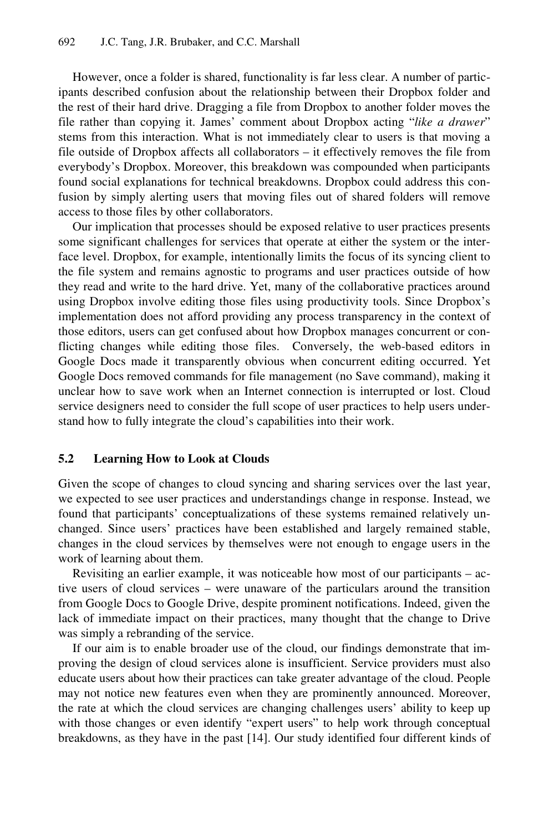However, once a folder is shared, functionality is far less clear. A number of participants described confusion about the relationship between their Dropbox folder and the rest of their hard drive. Dragging a file from Dropbox to another folder moves the file rather than copying it. James' comment about Dropbox acting "*like a drawer*" stems from this interaction. What is not immediately clear to users is that moving a file outside of Dropbox affects all collaborators – it effectively removes the file from everybody's Dropbox. Moreover, this breakdown was compounded when participants found social explanations for technical breakdowns. Dropbox could address this confusion by simply alerting users that moving files out of shared folders will remove access to those files by other collaborators.

Our implication that processes should be exposed relative to user practices presents some significant challenges for services that operate at either the system or the interface level. Dropbox, for example, intentionally limits the focus of its syncing client to the file system and remains agnostic to programs and user practices outside of how they read and write to the hard drive. Yet, many of the collaborative practices around using Dropbox involve editing those files using productivity tools. Since Dropbox's implementation does not afford providing any process transparency in the context of those editors, users can get confused about how Dropbox manages concurrent or conflicting changes while editing those files. Conversely, the web-based editors in Google Docs made it transparently obvious when concurrent editing occurred. Yet Google Docs removed commands for file management (no Save command), making it unclear how to save work when an Internet connection is interrupted or lost. Cloud service designers need to consider the full scope of user practices to help users understand how to fully integrate the cloud's capabilities into their work.

#### **5.2 Learning How to Look at Clouds**

Given the scope of changes to cloud syncing and sharing services over the last year, we expected to see user practices and understandings change in response. Instead, we found that participants' conceptualizations of these systems remained relatively unchanged. Since users' practices have been established and largely remained stable, changes in the cloud services by themselves were not enough to engage users in the work of learning about them.

Revisiting an earlier example, it was noticeable how most of our participants – active users of cloud services – were unaware of the particulars around the transition from Google Docs to Google Drive, despite prominent notifications. Indeed, given the lack of immediate impact on their practices, many thought that the change to Drive was simply a rebranding of the service.

If our aim is to enable broader use of the cloud, our findings demonstrate that improving the design of cloud services alone is insufficient. Service providers must also educate users about how their practices can take greater advantage of the cloud. People may not notice new features even when they are prominently announced. Moreover, the rate at which the cloud services are changing challenges users' ability to keep up with those changes or even identify "expert users" to help work through conceptual breakdowns, as they have in the past [14]. Our study identified four different kinds of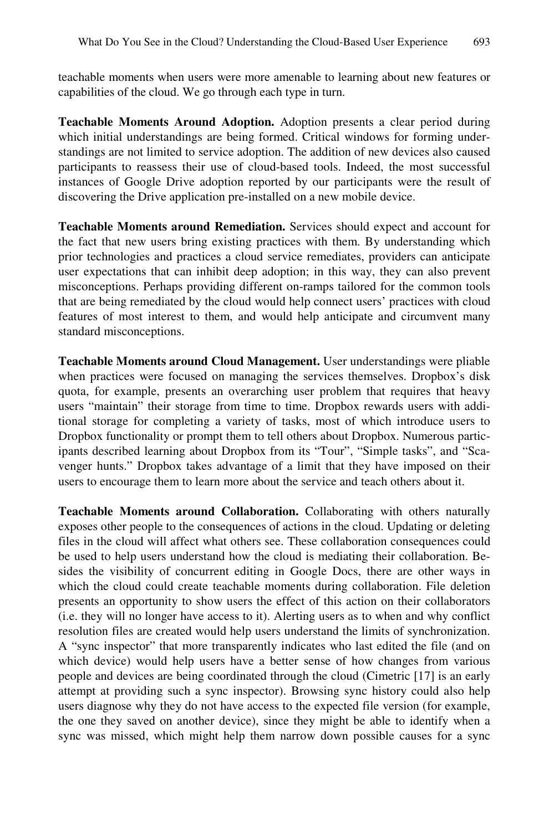teachable moments when users were more amenable to learning about new features or capabilities of the cloud. We go through each type in turn.

**Teachable Moments Around Adoption.** Adoption presents a clear period during which initial understandings are being formed. Critical windows for forming understandings are not limited to service adoption. The addition of new devices also caused participants to reassess their use of cloud-based tools. Indeed, the most successful instances of Google Drive adoption reported by our participants were the result of discovering the Drive application pre-installed on a new mobile device.

**Teachable Moments around Remediation.** Services should expect and account for the fact that new users bring existing practices with them. By understanding which prior technologies and practices a cloud service remediates, providers can anticipate user expectations that can inhibit deep adoption; in this way, they can also prevent misconceptions. Perhaps providing different on-ramps tailored for the common tools that are being remediated by the cloud would help connect users' practices with cloud features of most interest to them, and would help anticipate and circumvent many standard misconceptions.

**Teachable Moments around Cloud Management.** User understandings were pliable when practices were focused on managing the services themselves. Dropbox's disk quota, for example, presents an overarching user problem that requires that heavy users "maintain" their storage from time to time. Dropbox rewards users with additional storage for completing a variety of tasks, most of which introduce users to Dropbox functionality or prompt them to tell others about Dropbox. Numerous participants described learning about Dropbox from its "Tour", "Simple tasks", and "Scavenger hunts." Dropbox takes advantage of a limit that they have imposed on their users to encourage them to learn more about the service and teach others about it.

**Teachable Moments around Collaboration.** Collaborating with others naturally exposes other people to the consequences of actions in the cloud. Updating or deleting files in the cloud will affect what others see. These collaboration consequences could be used to help users understand how the cloud is mediating their collaboration. Besides the visibility of concurrent editing in Google Docs, there are other ways in which the cloud could create teachable moments during collaboration. File deletion presents an opportunity to show users the effect of this action on their collaborators (i.e. they will no longer have access to it). Alerting users as to when and why conflict resolution files are created would help users understand the limits of synchronization. A "sync inspector" that more transparently indicates who last edited the file (and on which device) would help users have a better sense of how changes from various people and devices are being coordinated through the cloud (Cimetric [17] is an early attempt at providing such a sync inspector). Browsing sync history could also help users diagnose why they do not have access to the expected file version (for example, the one they saved on another device), since they might be able to identify when a sync was missed, which might help them narrow down possible causes for a sync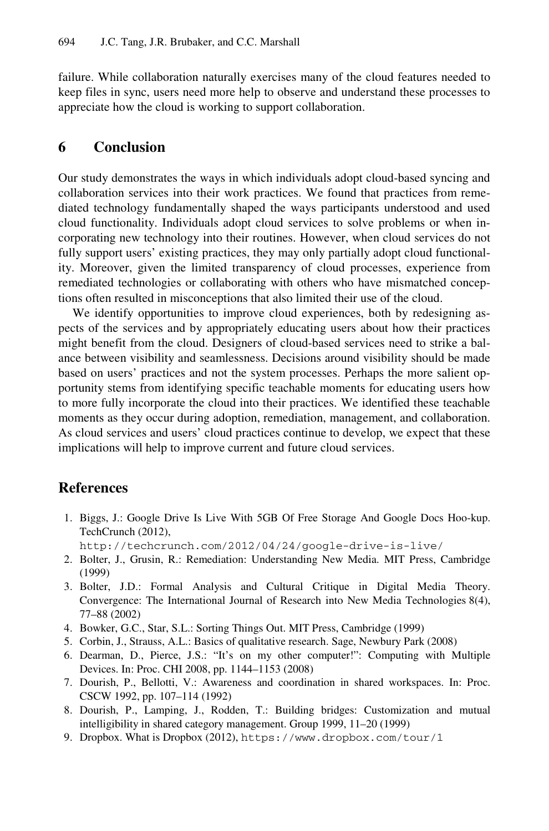failure. While collaboration naturally exercises many of the cloud features needed to keep files in sync, users need more help to observe and understand these processes to appreciate how the cloud is working to support collaboration.

## **6 Conclusion**

Our study demonstrates the ways in which individuals adopt cloud-based syncing and collaboration services into their work practices. We found that practices from remediated technology fundamentally shaped the ways participants understood and used cloud functionality. Individuals adopt cloud services to solve problems or when incorporating new technology into their routines. However, when cloud services do not fully support users' existing practices, they may only partially adopt cloud functionality. Moreover, given the limited transparency of cloud processes, experience from remediated technologies or collaborating with others who have mismatched conceptions often resulted in misconceptions that also limited their use of the cloud.

We identify opportunities to improve cloud experiences, both by redesigning aspects of the services and by appropriately educating users about how their practices might benefit from the cloud. Designers of cloud-based services need to strike a balance between visibility and seamlessness. Decisions around visibility should be made based on users' practices and not the system processes. Perhaps the more salient opportunity stems from identifying specific teachable moments for educating users how to more fully incorporate the cloud into their practices. We identified these teachable moments as they occur during adoption, remediation, management, and collaboration. As cloud services and users' cloud practices continue to develop, we expect that these implications will help to improve current and future cloud services.

## **References**

- 1. Biggs, J.: Google Drive Is Live With 5GB Of Free Storage And Google Docs Hoo-kup. TechCrunch (2012),
	- http://techcrunch.com/2012/04/24/google-drive-is-live/
- 2. Bolter, J., Grusin, R.: Remediation: Understanding New Media. MIT Press, Cambridge (1999)
- 3. Bolter, J.D.: Formal Analysis and Cultural Critique in Digital Media Theory. Convergence: The International Journal of Research into New Media Technologies 8(4), 77–88 (2002)
- 4. Bowker, G.C., Star, S.L.: Sorting Things Out. MIT Press, Cambridge (1999)
- 5. Corbin, J., Strauss, A.L.: Basics of qualitative research. Sage, Newbury Park (2008)
- 6. Dearman, D., Pierce, J.S.: "It's on my other computer!": Computing with Multiple Devices. In: Proc. CHI 2008, pp. 1144–1153 (2008)
- 7. Dourish, P., Bellotti, V.: Awareness and coordination in shared workspaces. In: Proc. CSCW 1992, pp. 107–114 (1992)
- 8. Dourish, P., Lamping, J., Rodden, T.: Building bridges: Customization and mutual intelligibility in shared category management. Group 1999, 11–20 (1999)
- 9. Dropbox. What is Dropbox (2012), https://www.dropbox.com/tour/1